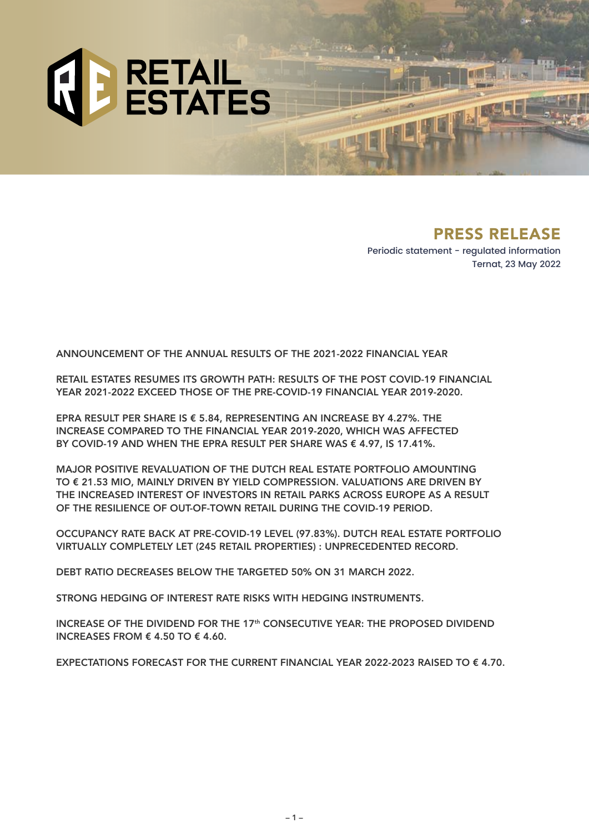

# PRESS RELEASE

Periodic statement - regulated information Ternat, 23 May 2022

ANNOUNCEMENT OF THE ANNUAL RESULTS OF THE 2021-2022 FINANCIAL YEAR

RETAIL ESTATES RESUMES ITS GROWTH PATH: RESULTS OF THE POST COVID-19 FINANCIAL YEAR 2021-2022 EXCEED THOSE OF THE PRE-COVID-19 FINANCIAL YEAR 2019-2020.

EPRA RESULT PER SHARE IS  $\epsilon$  5.84, REPRESENTING AN INCREASE BY 4.27%. THE INCREASE COMPARED TO THE FINANCIAL YEAR 2019-2020, WHICH WAS AFFECTED BY COVID-19 AND WHEN THE EPRA RESULT PER SHARE WAS  $\epsilon$  4.97, IS 17.41%.

MAJOR POSITIVE REVALUATION OF THE DUTCH REAL ESTATE PORTFOLIO AMOUNTING TO € 21.53 MIO, MAINLY DRIVEN BY YIELD COMPRESSION. VALUATIONS ARE DRIVEN BY THE INCREASED INTEREST OF INVESTORS IN RETAIL PARKS ACROSS EUROPE AS A RESULT OF THE RESILIENCE OF OUT-OF-TOWN RETAIL DURING THE COVID-19 PERIOD.

OCCUPANCY RATE BACK AT PRE-COVID-19 LEVEL (97.83%). DUTCH REAL ESTATE PORTFOLIO VIRTUALLY COMPLETELY LET (245 RETAIL PROPERTIES) : UNPRECEDENTED RECORD.

DEBT RATIO DECREASES BELOW THE TARGETED 50% ON 31 MARCH 2022.

STRONG HEDGING OF INTEREST RATE RISKS WITH HEDGING INSTRUMENTS.

INCREASE OF THE DIVIDEND FOR THE 17th CONSECUTIVE YEAR: THE PROPOSED DIVIDEND INCREASES FROM  $\epsilon$  4.50 TO  $\epsilon$  4.60.

EXPECTATIONS FORECAST FOR THE CURRENT FINANCIAL YEAR 2022-2023 RAISED TO € 4.70.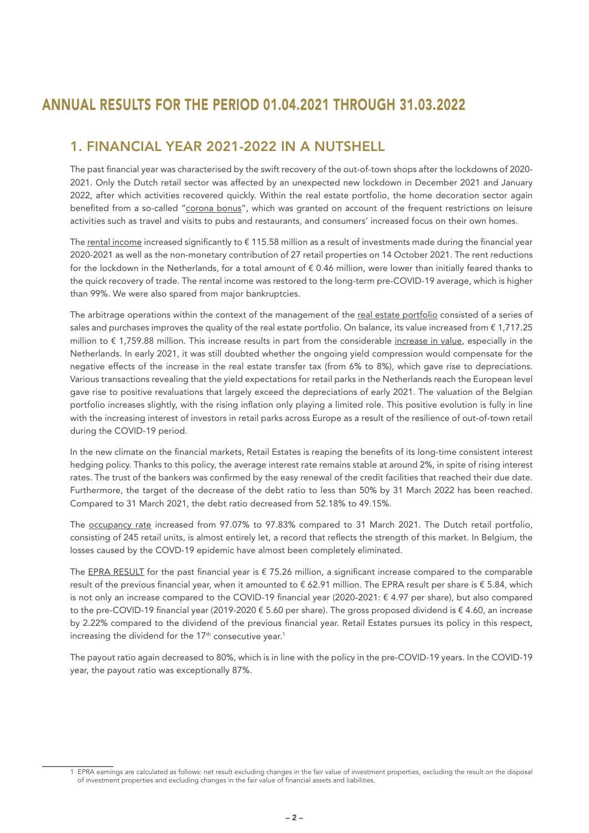# ANNUAL RESULTS FOR THE PERIOD 01.04.2021 THROUGH 31.03.2022

## 1. FINANCIAL YEAR 2021-2022 IN A NUTSHELL

The past financial year was characterised by the swift recovery of the out-of-town shops after the lockdowns of 2020- 2021. Only the Dutch retail sector was affected by an unexpected new lockdown in December 2021 and January 2022, after which activities recovered quickly. Within the real estate portfolio, the home decoration sector again benefited from a so-called "corona bonus", which was granted on account of the frequent restrictions on leisure activities such as travel and visits to pubs and restaurants, and consumers' increased focus on their own homes.

The rental income increased significantly to €115.58 million as a result of investments made during the financial year 2020-2021 as well as the non-monetary contribution of 27 retail properties on 14 October 2021. The rent reductions for the lockdown in the Netherlands, for a total amount of  $\epsilon$  0.46 million, were lower than initially feared thanks to the quick recovery of trade. The rental income was restored to the long-term pre-COVID-19 average, which is higher than 99%. We were also spared from major bankruptcies.

The arbitrage operations within the context of the management of the real estate portfolio consisted of a series of sales and purchases improves the quality of the real estate portfolio. On balance, its value increased from  $\epsilon$  1,717.25 million to € 1,759.88 million. This increase results in part from the considerable increase in value, especially in the Netherlands. In early 2021, it was still doubted whether the ongoing yield compression would compensate for the negative effects of the increase in the real estate transfer tax (from 6% to 8%), which gave rise to depreciations. Various transactions revealing that the yield expectations for retail parks in the Netherlands reach the European level gave rise to positive revaluations that largely exceed the depreciations of early 2021. The valuation of the Belgian portfolio increases slightly, with the rising inflation only playing a limited role. This positive evolution is fully in line with the increasing interest of investors in retail parks across Europe as a result of the resilience of out-of-town retail during the COVID-19 period.

In the new climate on the financial markets, Retail Estates is reaping the benefits of its long-time consistent interest hedging policy. Thanks to this policy, the average interest rate remains stable at around 2%, in spite of rising interest rates. The trust of the bankers was confirmed by the easy renewal of the credit facilities that reached their due date. Furthermore, the target of the decrease of the debt ratio to less than 50% by 31 March 2022 has been reached. Compared to 31 March 2021, the debt ratio decreased from 52.18% to 49.15%.

The occupancy rate increased from 97.07% to 97.83% compared to 31 March 2021. The Dutch retail portfolio, consisting of 245 retail units, is almost entirely let, a record that reflects the strength of this market. In Belgium, the losses caused by the COVD-19 epidemic have almost been completely eliminated.

The EPRA RESULT for the past financial year is  $\epsilon$  75.26 million, a significant increase compared to the comparable result of the previous financial year, when it amounted to  $\epsilon$  62.91 million. The EPRA result per share is  $\epsilon$  5.84, which is not only an increase compared to the COVID-19 financial year (2020-2021: € 4.97 per share), but also compared to the pre-COVID-19 financial year (2019-2020 € 5.60 per share). The gross proposed dividend is € 4.60, an increase by 2.22% compared to the dividend of the previous financial year. Retail Estates pursues its policy in this respect, increasing the dividend for the  $17<sup>th</sup>$  consecutive year.<sup>1</sup>

The payout ratio again decreased to 80%, which is in line with the policy in the pre-COVID-19 years. In the COVID-19 year, the payout ratio was exceptionally 87%.

<sup>1</sup> EPRA earnings are calculated as follows: net result excluding changes in the fair value of investment properties, excluding the result on the disposal of investment properties and excluding changes in the fair value of financial assets and liabilities.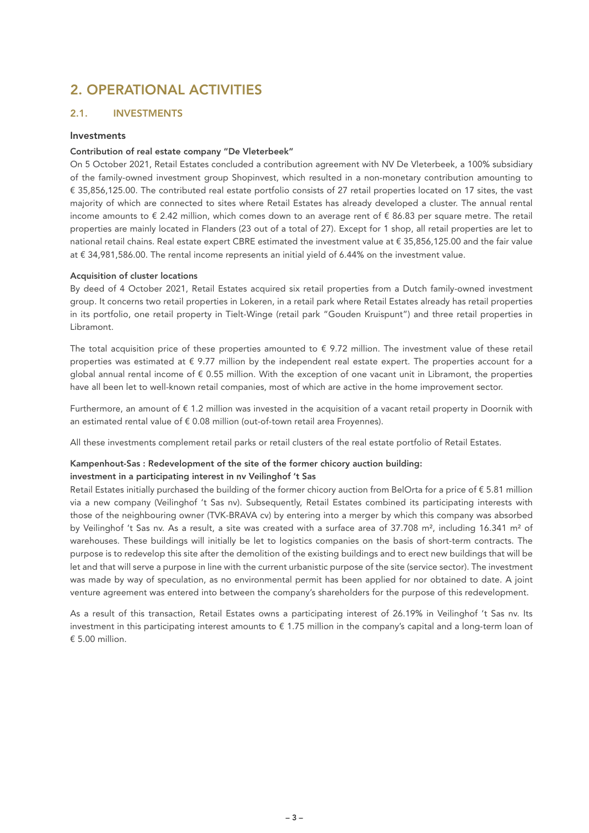# 2. OPERATIONAL ACTIVITIES

#### 2.1. INVESTMENTS

#### Investments

#### Contribution of real estate company "De Vleterbeek"

On 5 October 2021, Retail Estates concluded a contribution agreement with NV De Vleterbeek, a 100% subsidiary of the family-owned investment group Shopinvest, which resulted in a non-monetary contribution amounting to € 35,856,125.00. The contributed real estate portfolio consists of 27 retail properties located on 17 sites, the vast majority of which are connected to sites where Retail Estates has already developed a cluster. The annual rental income amounts to € 2.42 million, which comes down to an average rent of € 86.83 per square metre. The retail properties are mainly located in Flanders (23 out of a total of 27). Except for 1 shop, all retail properties are let to national retail chains. Real estate expert CBRE estimated the investment value at € 35,856,125.00 and the fair value at € 34,981,586.00. The rental income represents an initial yield of 6.44% on the investment value.

#### Acquisition of cluster locations

By deed of 4 October 2021, Retail Estates acquired six retail properties from a Dutch family-owned investment group. It concerns two retail properties in Lokeren, in a retail park where Retail Estates already has retail properties in its portfolio, one retail property in Tielt-Winge (retail park "Gouden Kruispunt") and three retail properties in Libramont.

The total acquisition price of these properties amounted to  $\epsilon$  9.72 million. The investment value of these retail properties was estimated at  $\epsilon$  9.77 million by the independent real estate expert. The properties account for a global annual rental income of € 0.55 million. With the exception of one vacant unit in Libramont, the properties have all been let to well-known retail companies, most of which are active in the home improvement sector.

Furthermore, an amount of € 1.2 million was invested in the acquisition of a vacant retail property in Doornik with an estimated rental value of  $\epsilon$  0.08 million (out-of-town retail area Froyennes).

All these investments complement retail parks or retail clusters of the real estate portfolio of Retail Estates.

## Kampenhout-Sas : Redevelopment of the site of the former chicory auction building:

#### investment in a participating interest in nv Veilinghof 't Sas

Retail Estates initially purchased the building of the former chicory auction from BelOrta for a price of  $\epsilon$  5.81 million via a new company (Veilinghof 't Sas nv). Subsequently, Retail Estates combined its participating interests with those of the neighbouring owner (TVK-BRAVA cv) by entering into a merger by which this company was absorbed by Veilinghof 't Sas nv. As a result, a site was created with a surface area of 37.708 m², including 16.341 m² of warehouses. These buildings will initially be let to logistics companies on the basis of short-term contracts. The purpose is to redevelop this site after the demolition of the existing buildings and to erect new buildings that will be let and that will serve a purpose in line with the current urbanistic purpose of the site (service sector). The investment was made by way of speculation, as no environmental permit has been applied for nor obtained to date. A joint venture agreement was entered into between the company's shareholders for the purpose of this redevelopment.

As a result of this transaction, Retail Estates owns a participating interest of 26.19% in Veilinghof 't Sas nv. Its investment in this participating interest amounts to € 1.75 million in the company's capital and a long-term loan of  $€ 5.00$  million.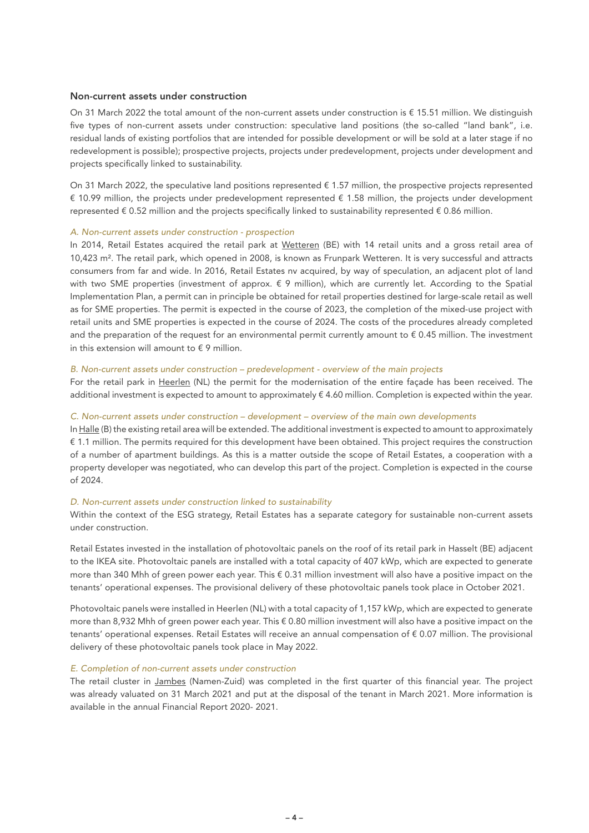#### Non-current assets under construction

On 31 March 2022 the total amount of the non-current assets under construction is € 15.51 million. We distinguish five types of non-current assets under construction: speculative land positions (the so-called "land bank", i.e. residual lands of existing portfolios that are intended for possible development or will be sold at a later stage if no redevelopment is possible); prospective projects, projects under predevelopment, projects under development and projects specifically linked to sustainability.

On 31 March 2022, the speculative land positions represented  $\epsilon$  1.57 million, the prospective projects represented € 10.99 million, the projects under predevelopment represented € 1.58 million, the projects under development represented € 0.52 million and the projects specifically linked to sustainability represented € 0.86 million.

#### *A. Non-current assets under construction - prospection*

In 2014, Retail Estates acquired the retail park at Wetteren (BE) with 14 retail units and a gross retail area of 10,423 m². The retail park, which opened in 2008, is known as Frunpark Wetteren. It is very successful and attracts consumers from far and wide. In 2016, Retail Estates nv acquired, by way of speculation, an adjacent plot of land with two SME properties (investment of approx. € 9 million), which are currently let. According to the Spatial Implementation Plan, a permit can in principle be obtained for retail properties destined for large-scale retail as well as for SME properties. The permit is expected in the course of 2023, the completion of the mixed-use project with retail units and SME properties is expected in the course of 2024. The costs of the procedures already completed and the preparation of the request for an environmental permit currently amount to  $\epsilon$  0.45 million. The investment in this extension will amount to  $\epsilon$  9 million.

#### *B. Non-current assets under construction – predevelopment - overview of the main projects*

For the retail park in Heerlen (NL) the permit for the modernisation of the entire façade has been received. The additional investment is expected to amount to approximately € 4.60 million. Completion is expected within the year.

#### *C. Non-current assets under construction – development – overview of the main own developments*

In Halle (B) the existing retail area will be extended. The additional investment is expected to amount to approximately € 1.1 million. The permits required for this development have been obtained. This project requires the construction of a number of apartment buildings. As this is a matter outside the scope of Retail Estates, a cooperation with a property developer was negotiated, who can develop this part of the project. Completion is expected in the course of 2024.

#### *D. Non-current assets under construction linked to sustainability*

Within the context of the ESG strategy, Retail Estates has a separate category for sustainable non-current assets under construction.

Retail Estates invested in the installation of photovoltaic panels on the roof of its retail park in Hasselt (BE) adjacent to the IKEA site. Photovoltaic panels are installed with a total capacity of 407 kWp, which are expected to generate more than 340 Mhh of green power each year. This € 0.31 million investment will also have a positive impact on the tenants' operational expenses. The provisional delivery of these photovoltaic panels took place in October 2021.

Photovoltaic panels were installed in Heerlen (NL) with a total capacity of 1,157 kWp, which are expected to generate more than 8,932 Mhh of green power each year. This € 0.80 million investment will also have a positive impact on the tenants' operational expenses. Retail Estates will receive an annual compensation of € 0.07 million. The provisional delivery of these photovoltaic panels took place in May 2022.

#### *E. Completion of non-current assets under construction*

The retail cluster in Jambes (Namen-Zuid) was completed in the first quarter of this financial year. The project was already valuated on 31 March 2021 and put at the disposal of the tenant in March 2021. More information is available in the annual Financial Report 2020- 2021.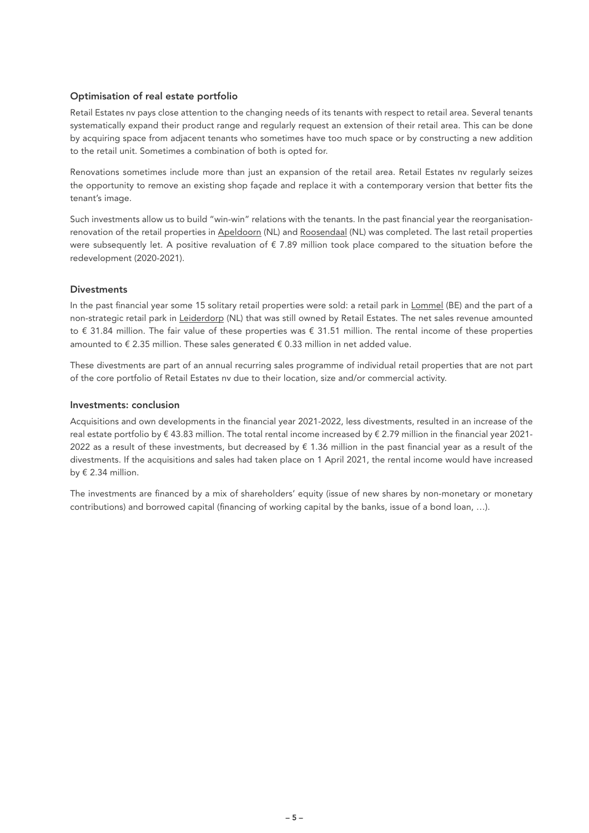#### Optimisation of real estate portfolio

Retail Estates nv pays close attention to the changing needs of its tenants with respect to retail area. Several tenants systematically expand their product range and regularly request an extension of their retail area. This can be done by acquiring space from adjacent tenants who sometimes have too much space or by constructing a new addition to the retail unit. Sometimes a combination of both is opted for.

Renovations sometimes include more than just an expansion of the retail area. Retail Estates nv regularly seizes the opportunity to remove an existing shop façade and replace it with a contemporary version that better fits the tenant's image.

Such investments allow us to build "win-win" relations with the tenants. In the past financial year the reorganisationrenovation of the retail properties in Apeldoorn (NL) and Roosendaal (NL) was completed. The last retail properties were subsequently let. A positive revaluation of € 7.89 million took place compared to the situation before the redevelopment (2020-2021).

#### **Divestments**

In the past financial year some 15 solitary retail properties were sold: a retail park in Lommel (BE) and the part of a non-strategic retail park in Leiderdorp (NL) that was still owned by Retail Estates. The net sales revenue amounted to € 31.84 million. The fair value of these properties was € 31.51 million. The rental income of these properties amounted to  $\epsilon$  2.35 million. These sales generated  $\epsilon$  0.33 million in net added value.

These divestments are part of an annual recurring sales programme of individual retail properties that are not part of the core portfolio of Retail Estates nv due to their location, size and/or commercial activity.

#### Investments: conclusion

Acquisitions and own developments in the financial year 2021-2022, less divestments, resulted in an increase of the real estate portfolio by € 43.83 million. The total rental income increased by € 2.79 million in the financial year 2021- 2022 as a result of these investments, but decreased by  $\epsilon$  1.36 million in the past financial year as a result of the divestments. If the acquisitions and sales had taken place on 1 April 2021, the rental income would have increased by  $\epsilon$  2.34 million.

The investments are financed by a mix of shareholders' equity (issue of new shares by non-monetary or monetary contributions) and borrowed capital (financing of working capital by the banks, issue of a bond loan, …).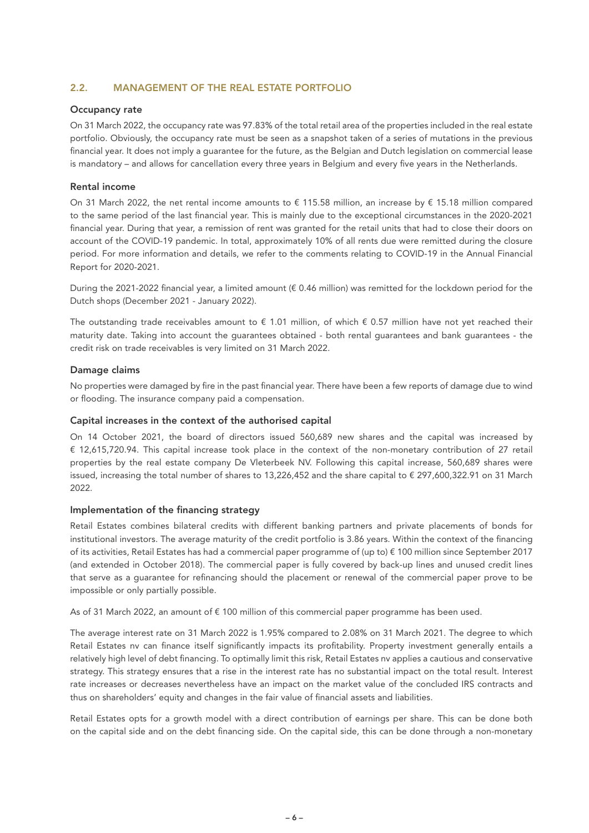#### 2.2. MANAGEMENT OF THE REAL ESTATE PORTFOLIO

#### Occupancy rate

On 31 March 2022, the occupancy rate was 97.83% of the total retail area of the properties included in the real estate portfolio. Obviously, the occupancy rate must be seen as a snapshot taken of a series of mutations in the previous financial year. It does not imply a guarantee for the future, as the Belgian and Dutch legislation on commercial lease is mandatory – and allows for cancellation every three years in Belgium and every five years in the Netherlands.

#### Rental income

On 31 March 2022, the net rental income amounts to € 115.58 million, an increase by € 15.18 million compared to the same period of the last financial year. This is mainly due to the exceptional circumstances in the 2020-2021 financial year. During that year, a remission of rent was granted for the retail units that had to close their doors on account of the COVID-19 pandemic. In total, approximately 10% of all rents due were remitted during the closure period. For more information and details, we refer to the comments relating to COVID-19 in the Annual Financial Report for 2020-2021.

During the 2021-2022 financial year, a limited amount (€ 0.46 million) was remitted for the lockdown period for the Dutch shops (December 2021 - January 2022).

The outstanding trade receivables amount to  $\epsilon$  1.01 million, of which  $\epsilon$  0.57 million have not yet reached their maturity date. Taking into account the guarantees obtained - both rental guarantees and bank guarantees - the credit risk on trade receivables is very limited on 31 March 2022.

#### Damage claims

No properties were damaged by fire in the past financial year. There have been a few reports of damage due to wind or flooding. The insurance company paid a compensation.

#### Capital increases in the context of the authorised capital

On 14 October 2021, the board of directors issued 560,689 new shares and the capital was increased by € 12,615,720.94. This capital increase took place in the context of the non-monetary contribution of 27 retail properties by the real estate company De Vleterbeek NV. Following this capital increase, 560,689 shares were issued, increasing the total number of shares to 13,226,452 and the share capital to € 297,600,322.91 on 31 March 2022.

#### Implementation of the financing strategy

Retail Estates combines bilateral credits with different banking partners and private placements of bonds for institutional investors. The average maturity of the credit portfolio is 3.86 years. Within the context of the financing of its activities, Retail Estates has had a commercial paper programme of (up to) € 100 million since September 2017 (and extended in October 2018). The commercial paper is fully covered by back-up lines and unused credit lines that serve as a guarantee for refinancing should the placement or renewal of the commercial paper prove to be impossible or only partially possible.

As of 31 March 2022, an amount of € 100 million of this commercial paper programme has been used.

The average interest rate on 31 March 2022 is 1.95% compared to 2.08% on 31 March 2021. The degree to which Retail Estates nv can finance itself significantly impacts its profitability. Property investment generally entails a relatively high level of debt financing. To optimally limit this risk, Retail Estates nv applies a cautious and conservative strategy. This strategy ensures that a rise in the interest rate has no substantial impact on the total result. Interest rate increases or decreases nevertheless have an impact on the market value of the concluded IRS contracts and thus on shareholders' equity and changes in the fair value of financial assets and liabilities.

Retail Estates opts for a growth model with a direct contribution of earnings per share. This can be done both on the capital side and on the debt financing side. On the capital side, this can be done through a non-monetary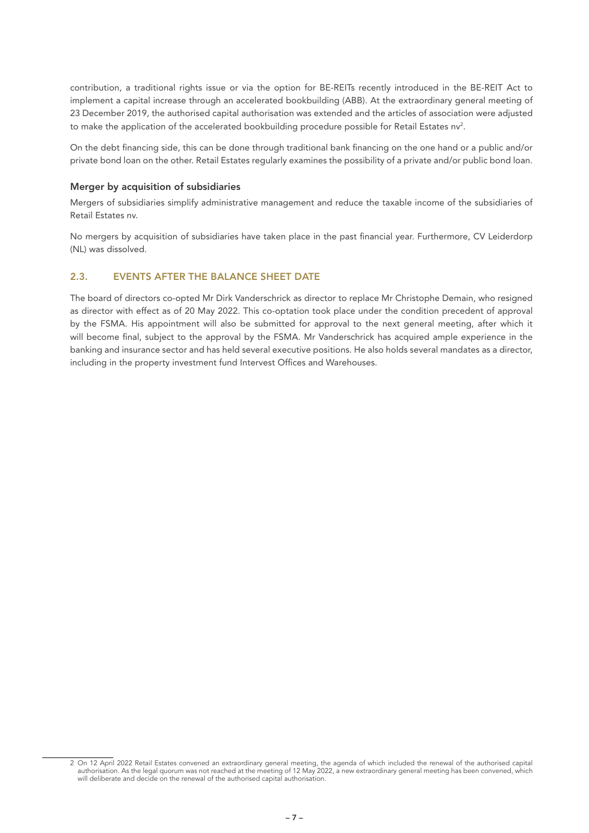contribution, a traditional rights issue or via the option for BE-REITs recently introduced in the BE-REIT Act to implement a capital increase through an accelerated bookbuilding (ABB). At the extraordinary general meeting of 23 December 2019, the authorised capital authorisation was extended and the articles of association were adjusted to make the application of the accelerated bookbuilding procedure possible for Retail Estates nv<sup>2</sup>.

On the debt financing side, this can be done through traditional bank financing on the one hand or a public and/or private bond loan on the other. Retail Estates regularly examines the possibility of a private and/or public bond loan.

#### Merger by acquisition of subsidiaries

Mergers of subsidiaries simplify administrative management and reduce the taxable income of the subsidiaries of Retail Estates nv.

No mergers by acquisition of subsidiaries have taken place in the past financial year. Furthermore, CV Leiderdorp (NL) was dissolved.

#### 2.3. EVENTS AFTER THE BALANCE SHEET DATE

The board of directors co-opted Mr Dirk Vanderschrick as director to replace Mr Christophe Demain, who resigned as director with effect as of 20 May 2022. This co-optation took place under the condition precedent of approval by the FSMA. His appointment will also be submitted for approval to the next general meeting, after which it will become final, subject to the approval by the FSMA. Mr Vanderschrick has acquired ample experience in the banking and insurance sector and has held several executive positions. He also holds several mandates as a director, including in the property investment fund Intervest Offices and Warehouses.

<sup>2</sup> On 12 April 2022 Retail Estates convened an extraordinary general meeting, the agenda of which included the renewal of the authorised capital authorisation. As the legal quorum was not reached at the meeting of 12 May 2022, a new extraordinary general meeting has been convened, which will deliberate and decide on the renewal of the authorised capital authorisation.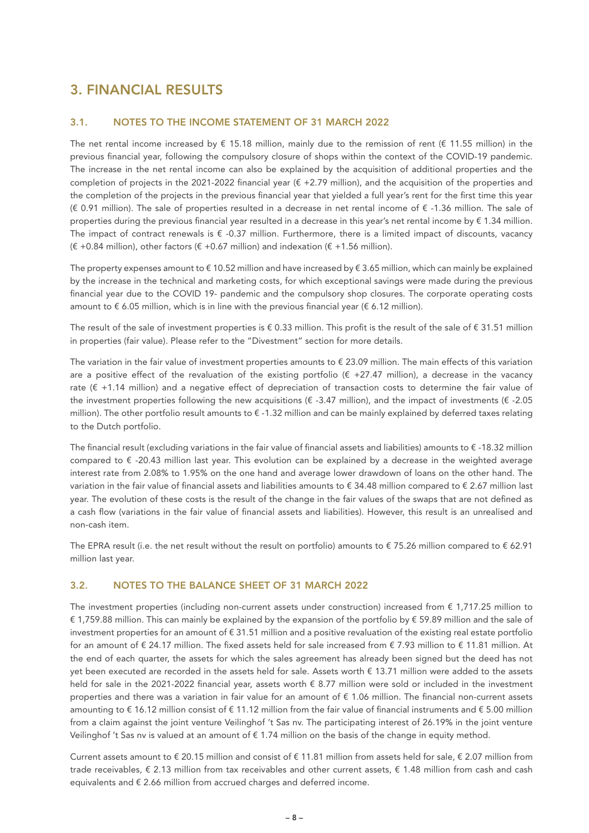# 3. FINANCIAL RESULTS

#### 3.1. NOTES TO THE INCOME STATEMENT OF 31 MARCH 2022

The net rental income increased by  $\epsilon$  15.18 million, mainly due to the remission of rent ( $\epsilon$  11.55 million) in the previous financial year, following the compulsory closure of shops within the context of the COVID-19 pandemic. The increase in the net rental income can also be explained by the acquisition of additional properties and the completion of projects in the 2021-2022 financial year  $(E + 2.79$  million), and the acquisition of the properties and the completion of the projects in the previous financial year that yielded a full year's rent for the first time this year (€ 0.91 million). The sale of properties resulted in a decrease in net rental income of € -1.36 million. The sale of properties during the previous financial year resulted in a decrease in this year's net rental income by  $\epsilon$  1.34 million. The impact of contract renewals is  $\epsilon$  -0.37 million. Furthermore, there is a limited impact of discounts, vacancy  $(E + 0.84$  million), other factors  $(E + 0.67$  million) and indexation  $(E + 1.56$  million).

The property expenses amount to  $\epsilon$  10.52 million and have increased by  $\epsilon$  3.65 million, which can mainly be explained by the increase in the technical and marketing costs, for which exceptional savings were made during the previous financial year due to the COVID 19- pandemic and the compulsory shop closures. The corporate operating costs amount to  $\epsilon$  6.05 million, which is in line with the previous financial year ( $\epsilon$  6.12 million).

The result of the sale of investment properties is  $\epsilon$  0.33 million. This profit is the result of the sale of  $\epsilon$  31.51 million in properties (fair value). Please refer to the "Divestment" section for more details.

The variation in the fair value of investment properties amounts to  $\epsilon$  23.09 million. The main effects of this variation are a positive effect of the revaluation of the existing portfolio ( $\epsilon$  +27.47 million), a decrease in the vacancy rate (€ +1.14 million) and a negative effect of depreciation of transaction costs to determine the fair value of the investment properties following the new acquisitions ( $\epsilon$  -3.47 million), and the impact of investments ( $\epsilon$  -2.05 million). The other portfolio result amounts to € -1.32 million and can be mainly explained by deferred taxes relating to the Dutch portfolio.

The financial result (excluding variations in the fair value of financial assets and liabilities) amounts to € -18.32 million compared to € -20.43 million last year. This evolution can be explained by a decrease in the weighted average interest rate from 2.08% to 1.95% on the one hand and average lower drawdown of loans on the other hand. The variation in the fair value of financial assets and liabilities amounts to € 34.48 million compared to € 2.67 million last year. The evolution of these costs is the result of the change in the fair values of the swaps that are not defined as a cash flow (variations in the fair value of financial assets and liabilities). However, this result is an unrealised and non-cash item.

The EPRA result (i.e. the net result without the result on portfolio) amounts to  $\epsilon$  75.26 million compared to  $\epsilon$  62.91 million last year.

#### 3.2. NOTES TO THE BALANCE SHEET OF 31 MARCH 2022

The investment properties (including non-current assets under construction) increased from  $\epsilon$  1,717.25 million to € 1,759.88 million. This can mainly be explained by the expansion of the portfolio by € 59.89 million and the sale of investment properties for an amount of  $\epsilon$  31.51 million and a positive revaluation of the existing real estate portfolio for an amount of € 24.17 million. The fixed assets held for sale increased from € 7.93 million to € 11.81 million. At the end of each quarter, the assets for which the sales agreement has already been signed but the deed has not yet been executed are recorded in the assets held for sale. Assets worth € 13.71 million were added to the assets held for sale in the 2021-2022 financial year, assets worth € 8.77 million were sold or included in the investment properties and there was a variation in fair value for an amount of € 1.06 million. The financial non-current assets amounting to  $\epsilon$  16.12 million consist of  $\epsilon$  11.12 million from the fair value of financial instruments and  $\epsilon$  5.00 million from a claim against the joint venture Veilinghof 't Sas nv. The participating interest of 26.19% in the joint venture Veilinghof 't Sas nv is valued at an amount of € 1.74 million on the basis of the change in equity method.

Current assets amount to  $\epsilon$  20.15 million and consist of  $\epsilon$  11.81 million from assets held for sale,  $\epsilon$  2.07 million from trade receivables,  $\epsilon$  2.13 million from tax receivables and other current assets,  $\epsilon$  1.48 million from cash and cash equivalents and € 2.66 million from accrued charges and deferred income.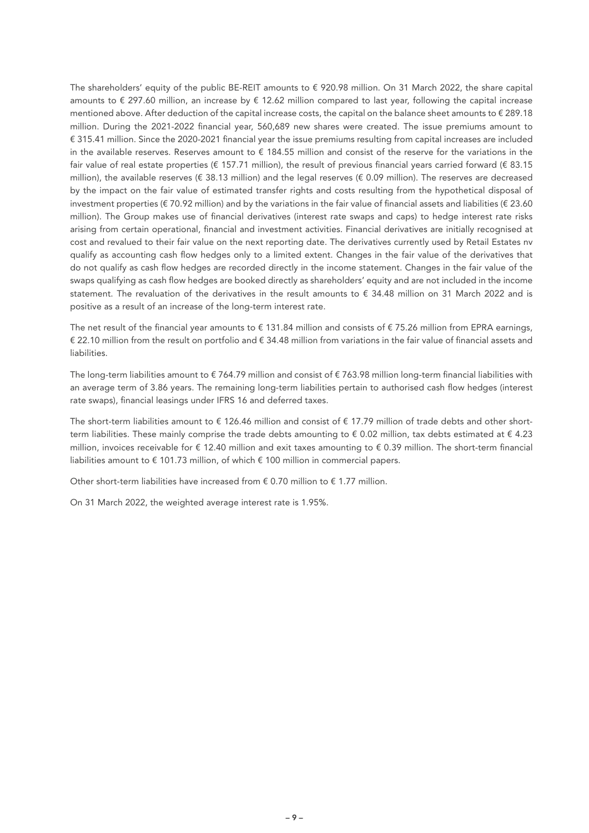The shareholders' equity of the public BE-REIT amounts to € 920.98 million. On 31 March 2022, the share capital amounts to € 297.60 million, an increase by € 12.62 million compared to last year, following the capital increase mentioned above. After deduction of the capital increase costs, the capital on the balance sheet amounts to € 289.18 million. During the 2021-2022 financial year, 560,689 new shares were created. The issue premiums amount to € 315.41 million. Since the 2020-2021 financial year the issue premiums resulting from capital increases are included in the available reserves. Reserves amount to  $\epsilon$  184.55 million and consist of the reserve for the variations in the fair value of real estate properties (€ 157.71 million), the result of previous financial years carried forward (€ 83.15 million), the available reserves ( $\epsilon$  38.13 million) and the legal reserves ( $\epsilon$  0.09 million). The reserves are decreased by the impact on the fair value of estimated transfer rights and costs resulting from the hypothetical disposal of investment properties (€ 70.92 million) and by the variations in the fair value of financial assets and liabilities (€ 23.60 million). The Group makes use of financial derivatives (interest rate swaps and caps) to hedge interest rate risks arising from certain operational, financial and investment activities. Financial derivatives are initially recognised at cost and revalued to their fair value on the next reporting date. The derivatives currently used by Retail Estates nv qualify as accounting cash flow hedges only to a limited extent. Changes in the fair value of the derivatives that do not qualify as cash flow hedges are recorded directly in the income statement. Changes in the fair value of the swaps qualifying as cash flow hedges are booked directly as shareholders' equity and are not included in the income statement. The revaluation of the derivatives in the result amounts to € 34.48 million on 31 March 2022 and is positive as a result of an increase of the long-term interest rate.

The net result of the financial year amounts to  $\epsilon$  131.84 million and consists of  $\epsilon$  75.26 million from EPRA earnings, € 22.10 million from the result on portfolio and € 34.48 million from variations in the fair value of financial assets and liabilities.

The long-term liabilities amount to  $\epsilon$  764.79 million and consist of  $\epsilon$  763.98 million long-term financial liabilities with an average term of 3.86 years. The remaining long-term liabilities pertain to authorised cash flow hedges (interest rate swaps), financial leasings under IFRS 16 and deferred taxes.

The short-term liabilities amount to € 126.46 million and consist of € 17.79 million of trade debts and other shortterm liabilities. These mainly comprise the trade debts amounting to  $\epsilon$  0.02 million, tax debts estimated at  $\epsilon$  4.23 million, invoices receivable for € 12.40 million and exit taxes amounting to € 0.39 million. The short-term financial liabilities amount to  $\epsilon$  101.73 million, of which  $\epsilon$  100 million in commercial papers.

Other short-term liabilities have increased from  $\epsilon$  0.70 million to  $\epsilon$  1.77 million.

On 31 March 2022, the weighted average interest rate is 1.95%.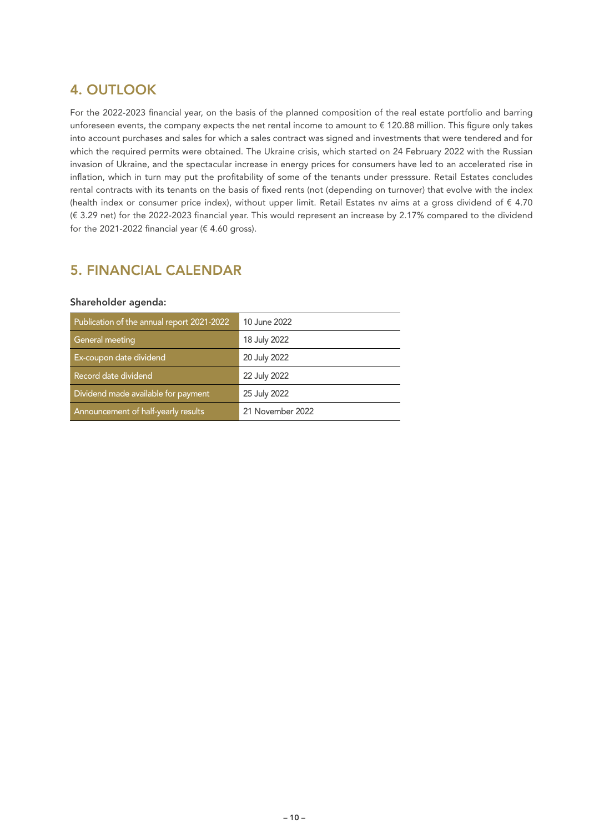# 4. OUTLOOK

For the 2022-2023 financial year, on the basis of the planned composition of the real estate portfolio and barring unforeseen events, the company expects the net rental income to amount to € 120.88 million. This figure only takes into account purchases and sales for which a sales contract was signed and investments that were tendered and for which the required permits were obtained. The Ukraine crisis, which started on 24 February 2022 with the Russian invasion of Ukraine, and the spectacular increase in energy prices for consumers have led to an accelerated rise in inflation, which in turn may put the profitability of some of the tenants under presssure. Retail Estates concludes rental contracts with its tenants on the basis of fixed rents (not (depending on turnover) that evolve with the index (health index or consumer price index), without upper limit. Retail Estates nv aims at a gross dividend of  $\epsilon$  4.70 (€ 3.29 net) for the 2022-2023 financial year. This would represent an increase by 2.17% compared to the dividend for the 2021-2022 financial year ( $€$  4.60 gross).

## 5. FINANCIAL CALENDAR

#### Shareholder agenda:

| Publication of the annual report 2021-2022 | 10 June 2022     |
|--------------------------------------------|------------------|
| General meeting                            | 18 July 2022     |
| Ex-coupon date dividend                    | 20 July 2022     |
| Record date dividend                       | 22 July 2022     |
| Dividend made available for payment        | 25 July 2022     |
| Announcement of half-yearly results        | 21 November 2022 |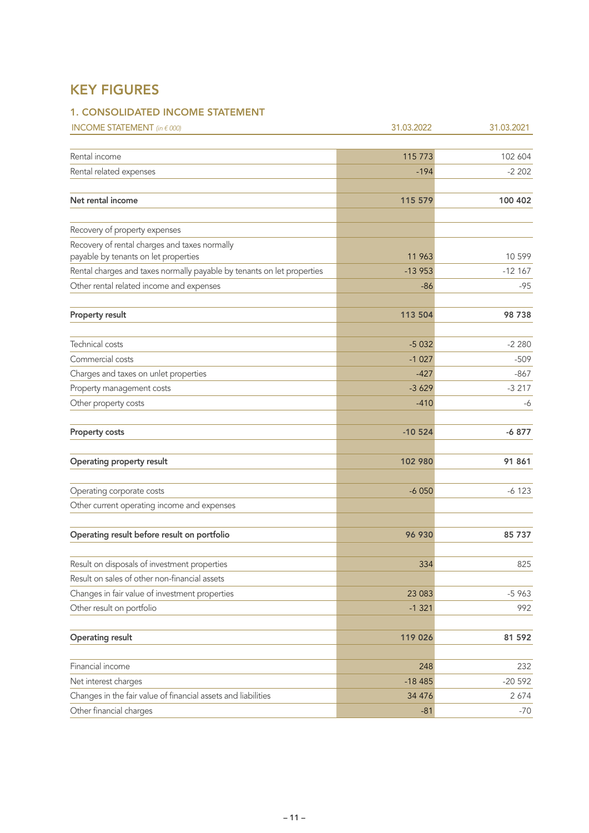# KEY FIGURES

### 1. CONSOLIDATED INCOME STATEMENT

| <b>INCOME STATEMENT</b> (in $\epsilon$ 000)                                           | 31.03.2022 | 31.03.2021 |
|---------------------------------------------------------------------------------------|------------|------------|
|                                                                                       |            |            |
| Rental income                                                                         | 115 773    | 102 604    |
| Rental related expenses                                                               | $-194$     | $-2202$    |
| Net rental income                                                                     | 115 579    | 100 402    |
| Recovery of property expenses                                                         |            |            |
| Recovery of rental charges and taxes normally<br>payable by tenants on let properties | 11 963     | 10 599     |
| Rental charges and taxes normally payable by tenants on let properties                | $-13953$   | $-12167$   |
| Other rental related income and expenses                                              | $-86$      | $-95$      |
| Property result                                                                       | 113 504    | 98738      |
| Technical costs                                                                       | $-5032$    | $-2280$    |
| Commercial costs                                                                      | $-1027$    | $-509$     |
| Charges and taxes on unlet properties                                                 | $-427$     | -867       |
| Property management costs                                                             | $-3629$    | $-3217$    |
| Other property costs                                                                  | $-410$     | -6         |
| <b>Property costs</b>                                                                 | $-10524$   | $-6877$    |
| Operating property result                                                             | 102 980    | 91 861     |
| Operating corporate costs                                                             | $-6050$    | $-6123$    |
| Other current operating income and expenses                                           |            |            |
| Operating result before result on portfolio                                           | 96 930     | 85 737     |
| Result on disposals of investment properties                                          | 334        | 825        |
| Result on sales of other non-financial assets                                         |            |            |
| Changes in fair value of investment properties                                        | 23 083     | $-5963$    |
| Other result on portfolio                                                             | $-1321$    | 992        |
| <b>Operating result</b>                                                               | 119 026    | 81 592     |
| Financial income                                                                      | 248        | 232        |
| Net interest charges                                                                  | $-18485$   | $-20592$   |
| Changes in the fair value of financial assets and liabilities                         | 34 476     | 2674       |
| Other financial charges                                                               | $-81$      | $-70$      |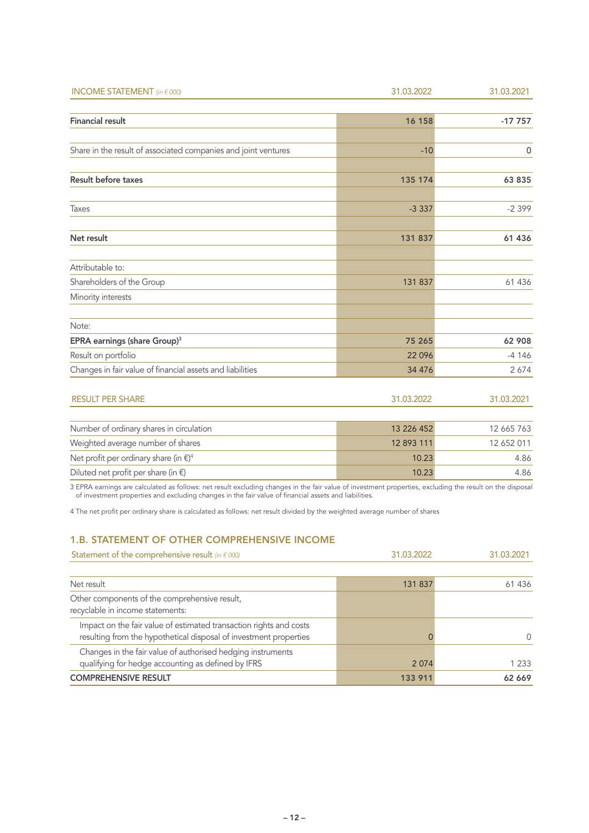| <b>INCOME STATEMENT</b> (in $\epsilon$ 000)                    | 31.03.2022 | 31.03.2021 |
|----------------------------------------------------------------|------------|------------|
|                                                                |            |            |
| <b>Financial result</b>                                        | 16 158     | $-17757$   |
|                                                                |            |            |
| Share in the result of associated companies and joint ventures | $-10$      | 0          |
| <b>Result before taxes</b>                                     | 135 174    | 63 835     |
| Taxes                                                          | $-3337$    | $-2399$    |
| Net result                                                     | 131 837    | 61 436     |
| Attributable to:                                               |            |            |
| Shareholders of the Group                                      | 131 837    | 61 436     |
| Minority interests                                             |            |            |
| Note:                                                          |            |            |
| EPRA earnings (share Group) <sup>3</sup>                       | 75 265     | 62 908     |
| Result on portfolio                                            | 22 0 96    | $-4146$    |
| Changes in fair value of financial assets and liabilities      | 34 4 7 6   | 2674       |

| <b>RESULT PER SHARE</b>                                | 31.03.2022 | 31.03.2021 |
|--------------------------------------------------------|------------|------------|
|                                                        |            |            |
| Number of ordinary shares in circulation               | 13 226 452 | 12 665 763 |
| Weighted average number of shares                      | 12 893 111 | 12 652 011 |
| Net profit per ordinary share (in $\xi$ ) <sup>4</sup> | 10.23      | 4.86       |
| Diluted net profit per share (in $\xi$ )               | 10.23      | 4.86       |

3 EPRA earnings are calculated as follows: net result excluding changes in the fair value of investment properties, excluding the result on the disposal of investment properties and excluding changes in the fair value of financial assets and liabilities.

4 The net profit per ordinary share is calculated as follows: net result divided by the weighted average number of shares

#### 1.B. STATEMENT OF OTHER COMPREHENSIVE INCOME

| Statement of the comprehensive result (in $\epsilon$ 000)                                                                               | 31.03.2022 | 31.03.2021 |
|-----------------------------------------------------------------------------------------------------------------------------------------|------------|------------|
| Net result                                                                                                                              | 131 837    | 61 436     |
| Other components of the comprehensive result,<br>recyclable in income statements:                                                       |            |            |
| Impact on the fair value of estimated transaction rights and costs<br>resulting from the hypothetical disposal of investment properties |            | $\Omega$   |
| Changes in the fair value of authorised hedging instruments<br>qualifying for hedge accounting as defined by IFRS                       | 2074       | 1 233      |
| <b>COMPREHENSIVE RESULT</b>                                                                                                             | 133 911    | 62 669     |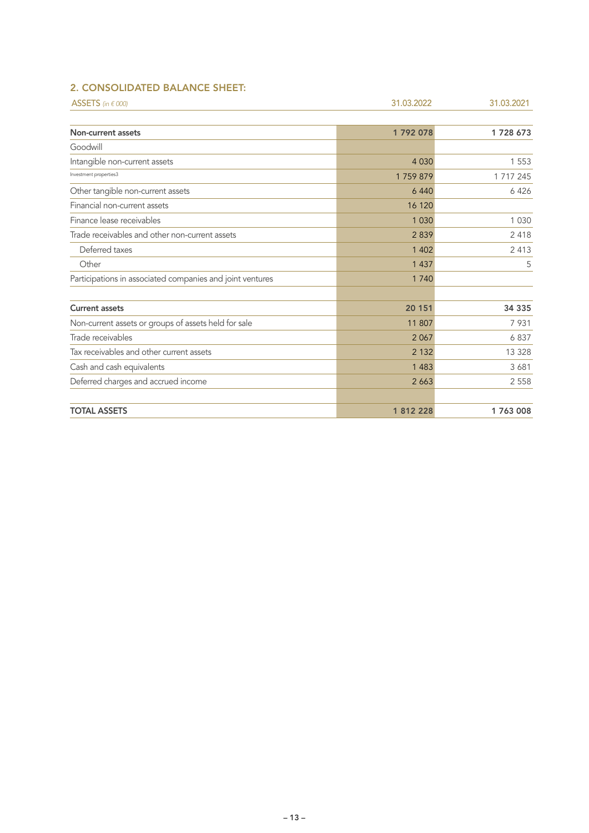## 2. CONSOLIDATED BALANCE SHEET:

| ASSETS (in $\epsilon$ 000)                                | 31.03.2022 | 31.03.2021 |
|-----------------------------------------------------------|------------|------------|
|                                                           |            |            |
| Non-current assets                                        | 1792078    | 1728 673   |
| Goodwill                                                  |            |            |
| Intangible non-current assets                             | 4 0 3 0    | 1 5 5 3    |
| Investment properties3                                    | 1759879    | 1 717 245  |
| Other tangible non-current assets                         | 6 4 4 0    | 6426       |
| Financial non-current assets                              | 16 120     |            |
| Finance lease receivables                                 | 1 0 3 0    | 1 0 3 0    |
| Trade receivables and other non-current assets            | 2839       | 2418       |
| Deferred taxes                                            | 1 4 0 2    | 2 4 1 3    |
| Other                                                     | 1 4 3 7    | 5          |
| Participations in associated companies and joint ventures | 1 7 4 0    |            |
| <b>Current assets</b>                                     | 20 151     | 34 335     |
| Non-current assets or groups of assets held for sale      | 11 807     | 7931       |
| Trade receivables                                         | 2 0 6 7    | 6837       |
| Tax receivables and other current assets                  | 2 1 3 2    | 13 3 28    |
| Cash and cash equivalents                                 | 1 4 8 3    | 3681       |
| Deferred charges and accrued income                       | 2 6 6 3    | 2 5 5 8    |
| <b>TOTAL ASSETS</b>                                       | 1 812 228  | 1763008    |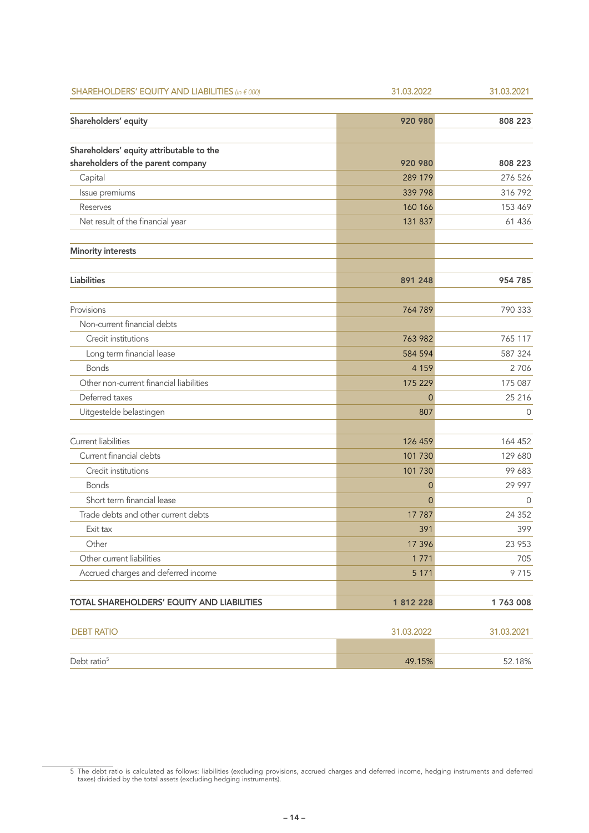| SHAREHOLDERS' EQUITY AND LIABILITIES (in € 000) | 31.03.2022     | 31.03.2021 |
|-------------------------------------------------|----------------|------------|
| Shareholders' equity                            | 920 980        | 808 223    |
|                                                 |                |            |
| Shareholders' equity attributable to the        |                |            |
| shareholders of the parent company              | 920 980        | 808 223    |
| Capital                                         | 289 179        | 276 526    |
| Issue premiums                                  | 339 798        | 316 792    |
| Reserves                                        | 160 166        | 153 469    |
| Net result of the financial year                | 131 837        | 61 436     |
| <b>Minority interests</b>                       |                |            |
| <b>Liabilities</b>                              | 891 248        | 954 785    |
| Provisions                                      | 764 789        | 790 333    |
| Non-current financial debts                     |                |            |
| Credit institutions                             | 763 982        | 765 117    |
| Long term financial lease                       | 584 594        | 587 324    |
| <b>Bonds</b>                                    | 4 1 5 9        | 2706       |
| Other non-current financial liabilities         | 175 229        | 175 087    |
| Deferred taxes                                  | 0              | 25 216     |
| Uitgestelde belastingen                         | 807            | 0          |
| Current liabilities                             | 126 459        | 164 452    |
| Current financial debts                         | 101 730        | 129 680    |
| Credit institutions                             | 101 730        | 99 683     |
| <b>Bonds</b>                                    | 0              | 29 997     |
| Short term financial lease                      | $\overline{0}$ | 0          |
| Trade debts and other current debts             | 17 787         | 24 3 5 2   |
| Exit tax                                        | 391            | 399        |
| Other                                           | 17 396         | 23 953     |
| Other current liabilities                       | 1771           | 705        |
| Accrued charges and deferred income             | 5 1 7 1        | 9715       |
| TOTAL SHAREHOLDERS' EQUITY AND LIABILITIES      | 1 812 228      | 1763008    |
| <b>DEBT RATIO</b>                               | 31.03.2022     | 31.03.2021 |
| Debt ratio <sup>5</sup>                         | 49.15%         | 52.18%     |

<sup>5</sup> The debt ratio is calculated as follows: liabilities (excluding provisions, accrued charges and deferred income, hedging instruments and deferred taxes) divided by the total assets (excluding hedging instruments).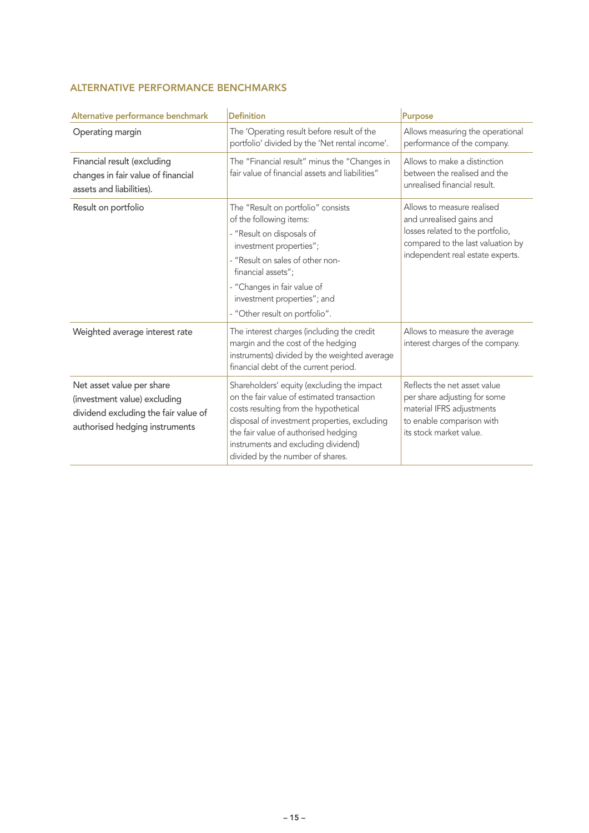## ALTERNATIVE PERFORMANCE BENCHMARKS

| Alternative performance benchmark                                                                                                   | <b>Definition</b>                                                                                                                                                                                                                                                                                    | <b>Purpose</b>                                                                                                                                                      |
|-------------------------------------------------------------------------------------------------------------------------------------|------------------------------------------------------------------------------------------------------------------------------------------------------------------------------------------------------------------------------------------------------------------------------------------------------|---------------------------------------------------------------------------------------------------------------------------------------------------------------------|
| Operating margin                                                                                                                    | The 'Operating result before result of the<br>portfolio' divided by the 'Net rental income'.                                                                                                                                                                                                         | Allows measuring the operational<br>performance of the company.                                                                                                     |
| Financial result (excluding<br>changes in fair value of financial<br>assets and liabilities).                                       | The "Financial result" minus the "Changes in<br>fair value of financial assets and liabilities"                                                                                                                                                                                                      | Allows to make a distinction<br>between the realised and the<br>unrealised financial result.                                                                        |
| Result on portfolio                                                                                                                 | The "Result on portfolio" consists<br>of the following items:<br>- "Result on disposals of<br>investment properties";<br>- "Result on sales of other non-<br>financial assets";<br>- "Changes in fair value of<br>investment properties"; and<br>- "Other result on portfolio".                      | Allows to measure realised<br>and unrealised gains and<br>losses related to the portfolio,<br>compared to the last valuation by<br>independent real estate experts. |
| Weighted average interest rate                                                                                                      | The interest charges (including the credit<br>margin and the cost of the hedging<br>instruments) divided by the weighted average<br>financial debt of the current period.                                                                                                                            | Allows to measure the average<br>interest charges of the company.                                                                                                   |
| Net asset value per share<br>(investment value) excluding<br>dividend excluding the fair value of<br>authorised hedging instruments | Shareholders' equity (excluding the impact<br>on the fair value of estimated transaction<br>costs resulting from the hypothetical<br>disposal of investment properties, excluding<br>the fair value of authorised hedging<br>instruments and excluding dividend)<br>divided by the number of shares. | Reflects the net asset value<br>per share adjusting for some<br>material IFRS adjustments<br>to enable comparison with<br>its stock market value.                   |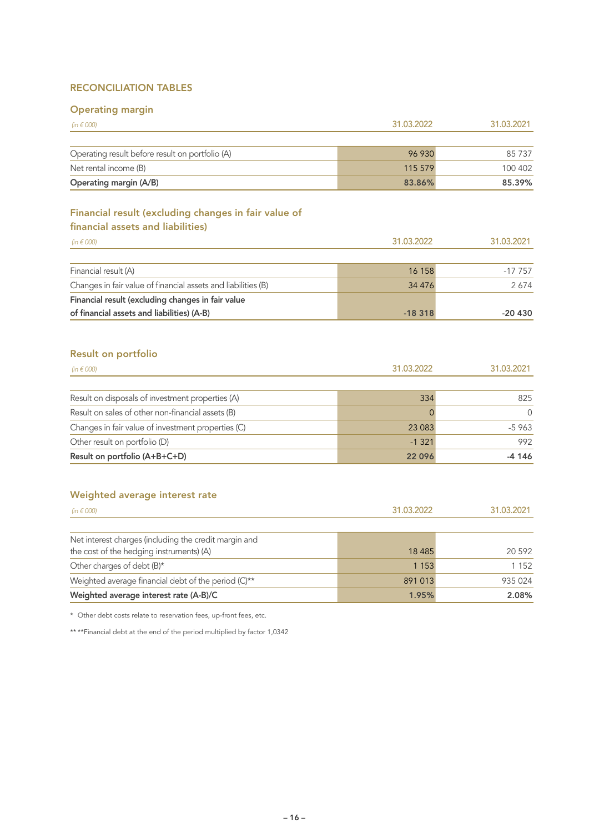#### RECONCILIATION TABLES

## Operating margin

| Operating margin                                                                          |            |            |
|-------------------------------------------------------------------------------------------|------------|------------|
| (in $\epsilon$ 000)                                                                       | 31.03.2022 | 31.03.2021 |
|                                                                                           |            |            |
| Operating result before result on portfolio (A)                                           | 96 930     | 85 737     |
| Net rental income (B)                                                                     | 115 579    | 100 402    |
| Operating margin (A/B)                                                                    | 83.86%     | 85.39%     |
| Financial result (excluding changes in fair value of<br>financial assets and liabilities) |            |            |
| (in $\epsilon$ 000)                                                                       | 31.03.2022 | 31.03.2021 |
| Financial result (A)                                                                      | 16 158     | $-17757$   |
| Changes in fair value of financial assets and liabilities (B)                             | 34 476     | 2674       |
| Financial result (excluding changes in fair value                                         |            |            |
| of financial assets and liabilities) (A-B)                                                | $-18318$   | $-20430$   |
| Result on portfolio<br>(in $\epsilon$ 000)                                                | 31.03.2022 | 31.03.2021 |
| Result on disposals of investment properties (A)                                          | 334        | 825        |
| Result on sales of other non-financial assets (B)                                         | $\Omega$   | $\Omega$   |
| Changes in fair value of investment properties (C)                                        | 23 083     | $-5963$    |
| Other result on portfolio (D)                                                             | $-1321$    | 992        |
|                                                                                           |            |            |

#### Weighted average interest rate

| (in $\epsilon$ 000)                                                                               | 31.03.2022 | 31.03.2021 |
|---------------------------------------------------------------------------------------------------|------------|------------|
| Net interest charges (including the credit margin and<br>the cost of the hedging instruments) (A) | 18 4 8 5   | 20 592     |
| Other charges of debt (B)*                                                                        | 1 1 5 3    | 1 1 5 2    |
| Weighted average financial debt of the period (C)**                                               | 891 013    | 935 024    |
| Weighted average interest rate (A-B)/C                                                            | 1.95%      | 2.08%      |

Result on portfolio (A+B+C+D) 22 096 -4 146

\* Other debt costs relate to reservation fees, up-front fees, etc.

\*\* \*\* Financial debt at the end of the period multiplied by factor 1,0342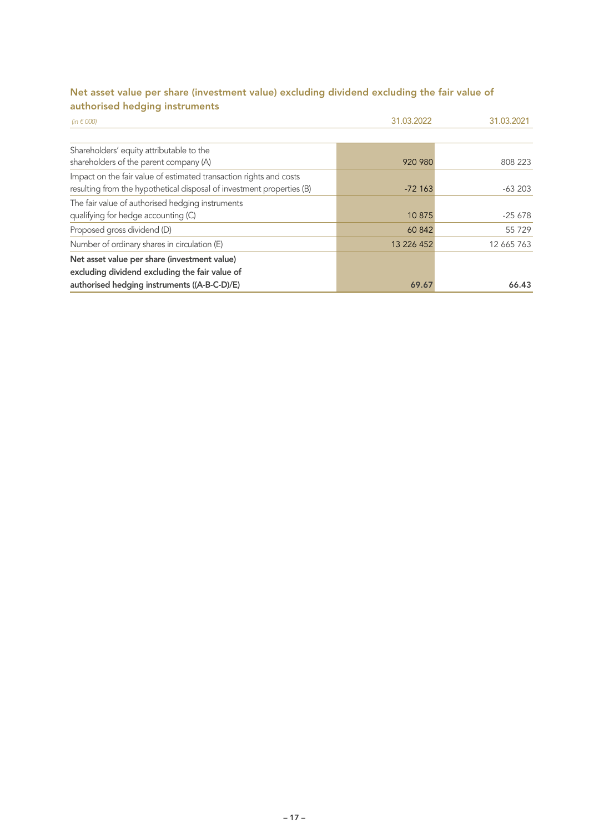## Net asset value per share (investment value) excluding dividend excluding the fair value of authorised hedging instruments

| (in $\epsilon$ 000)                                                   | 31.03.2022 | 31.03.2021 |
|-----------------------------------------------------------------------|------------|------------|
|                                                                       |            |            |
| Shareholders' equity attributable to the                              |            |            |
| shareholders of the parent company (A)                                | 920 980    | 808 223    |
| Impact on the fair value of estimated transaction rights and costs    |            |            |
| resulting from the hypothetical disposal of investment properties (B) | $-72163$   | $-63203$   |
| The fair value of authorised hedging instruments                      |            |            |
| qualifying for hedge accounting (C)                                   | 10 875     | $-25678$   |
| Proposed gross dividend (D)                                           | 60 842     | 55 7 29    |
| Number of ordinary shares in circulation (E)                          | 13 226 452 | 12 665 763 |
| Net asset value per share (investment value)                          |            |            |
| excluding dividend excluding the fair value of                        |            |            |
| authorised hedging instruments ((A-B-C-D)/E)                          | 69.67      | 66.43      |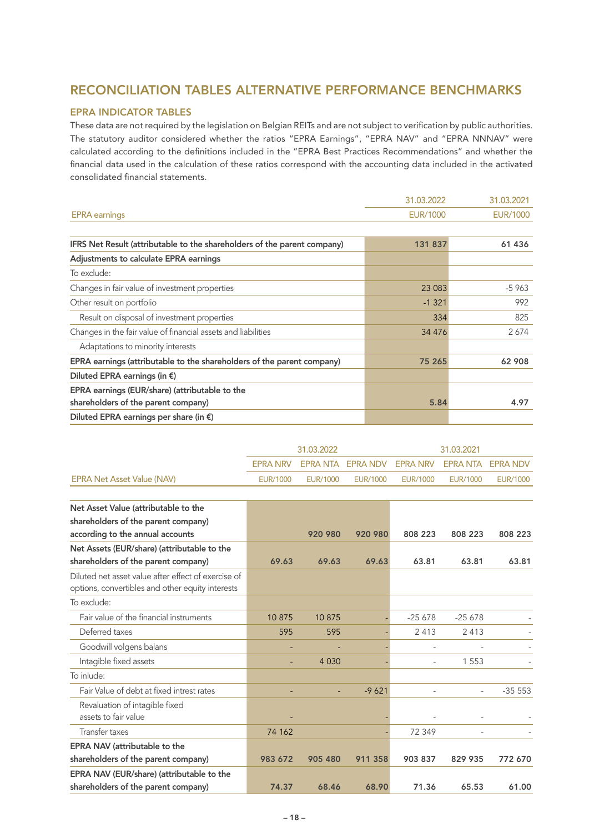## RECONCILIATION TABLES ALTERNATIVE PERFORMANCE BENCHMARKS

#### EPRA INDICATOR TABLES

These data are not required by the legislation on Belgian REITs and are not subject to verification by public authorities. The statutory auditor considered whether the ratios "EPRA Earnings", "EPRA NAV" and "EPRA NNNAV" were calculated according to the definitions included in the "EPRA Best Practices Recommendations" and whether the financial data used in the calculation of these ratios correspond with the accounting data included in the activated consolidated financial statements.

|                                                                          | 31.03.2022      | 31.03.2021      |
|--------------------------------------------------------------------------|-----------------|-----------------|
| <b>EPRA</b> earnings                                                     | <b>EUR/1000</b> | <b>EUR/1000</b> |
|                                                                          |                 |                 |
| IFRS Net Result (attributable to the shareholders of the parent company) | 131 837         | 61 436          |
| Adjustments to calculate EPRA earnings                                   |                 |                 |
| To exclude:                                                              |                 |                 |
| Changes in fair value of investment properties                           | 23 083          | $-5963$         |
| Other result on portfolio                                                | $-1321$         | 992             |
| Result on disposal of investment properties                              | 334             | 825             |
| Changes in the fair value of financial assets and liabilities            | 34 4 7 6        | 2674            |
| Adaptations to minority interests                                        |                 |                 |
| EPRA earnings (attributable to the shareholders of the parent company)   | 75 265          | 62 908          |
| Diluted EPRA earnings (in $\epsilon$ )                                   |                 |                 |
| EPRA earnings (EUR/share) (attributable to the                           |                 |                 |
| shareholders of the parent company)                                      | 5.84            | 4.97            |
| Diluted EPRA earnings per share (in $\epsilon$ )                         |                 |                 |

|                                   | 31.03.2022 |          | 31.03.2021                                            |          |          |          |
|-----------------------------------|------------|----------|-------------------------------------------------------|----------|----------|----------|
|                                   |            |          | EPRA NRV EPRA NTA EPRA NDV EPRA NRV EPRA NTA EPRA NDV |          |          |          |
| <b>EPRA Net Asset Value (NAV)</b> | EUR/1000   | EUR/1000 | EUR/1000                                              | EUR/1000 | EUR/1000 | EUR/1000 |

| Net Asset Value (attributable to the                |         |         |         |          |                          |          |
|-----------------------------------------------------|---------|---------|---------|----------|--------------------------|----------|
| shareholders of the parent company)                 |         |         |         |          |                          |          |
| according to the annual accounts                    |         | 920 980 | 920 980 | 808 223  | 808 223                  | 808 223  |
| Net Assets (EUR/share) (attributable to the         |         |         |         |          |                          |          |
| shareholders of the parent company)                 | 69.63   | 69.63   | 69.63   | 63.81    | 63.81                    | 63.81    |
| Diluted net asset value after effect of exercise of |         |         |         |          |                          |          |
| options, convertibles and other equity interests    |         |         |         |          |                          |          |
| To exclude:                                         |         |         |         |          |                          |          |
| Fair value of the financial instruments             | 10875   | 10875   |         | $-25678$ | $-25678$                 |          |
| Deferred taxes                                      | 595     | 595     |         | 2 4 1 3  | 2413                     |          |
| Goodwill volgens balans                             |         |         |         |          |                          |          |
| Intagible fixed assets                              |         | 4 0 3 0 |         |          | 1553                     |          |
| To inlude:                                          |         |         |         |          |                          |          |
| Fair Value of debt at fixed intrest rates           |         |         | $-9621$ |          | $\overline{\phantom{a}}$ | $-35553$ |
| Revaluation of intagible fixed                      |         |         |         |          |                          |          |
| assets to fair value                                |         |         |         |          |                          |          |
| <b>Transfer taxes</b>                               | 74 162  |         |         | 72 349   |                          |          |
| EPRA NAV (attributable to the                       |         |         |         |          |                          |          |
| shareholders of the parent company)                 | 983 672 | 905 480 | 911 358 | 903 837  | 829 935                  | 772 670  |
| EPRA NAV (EUR/share) (attributable to the           |         |         |         |          |                          |          |
| shareholders of the parent company)                 | 74.37   | 68.46   | 68.90   | 71.36    | 65.53                    | 61.00    |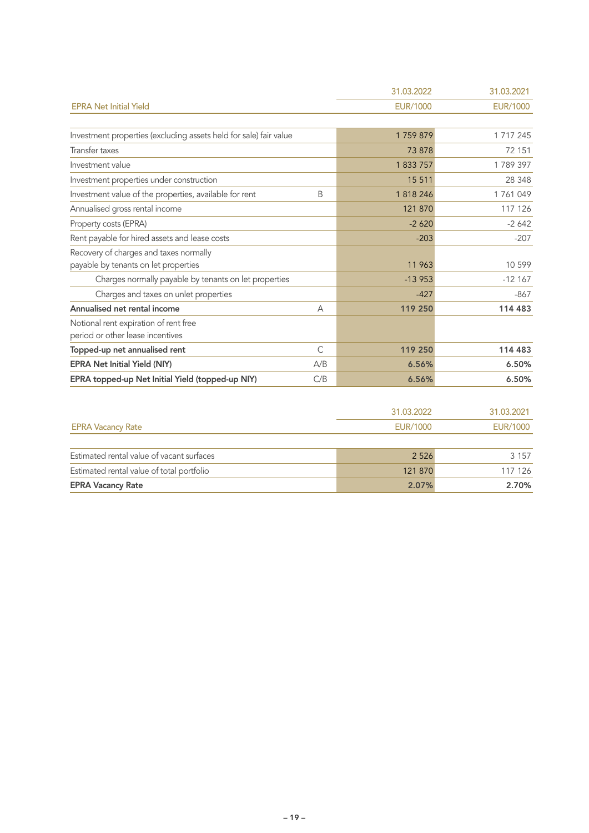|                                                                           |              | 31.03.2022      | 31.03.2021      |
|---------------------------------------------------------------------------|--------------|-----------------|-----------------|
| <b>EPRA Net Initial Yield</b>                                             |              | <b>EUR/1000</b> | <b>EUR/1000</b> |
|                                                                           |              |                 |                 |
| Investment properties (excluding assets held for sale) fair value         |              | 1759879         | 1 717 245       |
| Transfer taxes                                                            |              | 73 878          | 72 151          |
| Investment value                                                          |              | 1 833 757       | 1789397         |
| Investment properties under construction                                  |              | 15 5 11         | 28 348          |
| Investment value of the properties, available for rent                    | Β            | 1818246         | 1761049         |
| Annualised gross rental income                                            |              | 121 870         | 117 126         |
| Property costs (EPRA)                                                     |              | $-2620$         | $-2642$         |
| Rent payable for hired assets and lease costs                             |              | $-203$          | $-207$          |
| Recovery of charges and taxes normally                                    |              |                 |                 |
| payable by tenants on let properties                                      |              | 11 963          | 10 599          |
| Charges normally payable by tenants on let properties                     |              | $-13953$        | $-12167$        |
| Charges and taxes on unlet properties                                     |              | $-427$          | $-867$          |
| Annualised net rental income                                              | A            | 119 250         | 114 483         |
| Notional rent expiration of rent free<br>period or other lease incentives |              |                 |                 |
| Topped-up net annualised rent                                             | $\mathsf{C}$ | 119 250         | 114 483         |
| <b>EPRA Net Initial Yield (NIY)</b>                                       | A/B          | 6.56%           | 6.50%           |
| EPRA topped-up Net Initial Yield (topped-up NIY)                          | C/B          | 6.56%           | 6.50%           |
|                                                                           |              |                 |                 |
|                                                                           |              | 31.03.2022      | 31.03.2021      |
| <b>EPRA Vacancy Rate</b>                                                  |              | <b>EUR/1000</b> | <b>EUR/1000</b> |

| 2.07%   | 2.70%   |
|---------|---------|
| 121 870 | 117 126 |
| 2 5 2 6 | 3 1 5 7 |
|         |         |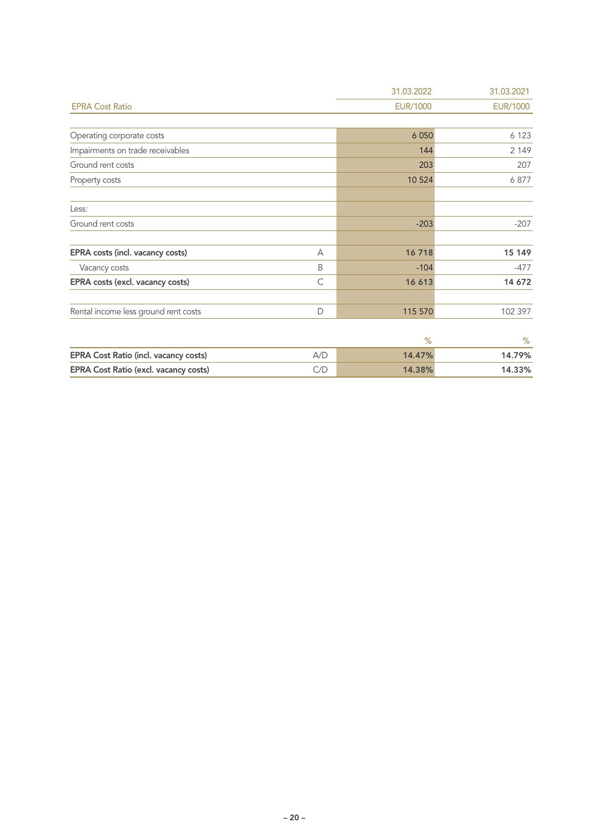|                                       |     | 31.03.2022      | 31.03.2021      |
|---------------------------------------|-----|-----------------|-----------------|
| <b>EPRA Cost Ratio</b>                |     | <b>EUR/1000</b> | <b>EUR/1000</b> |
|                                       |     |                 |                 |
| Operating corporate costs             |     | 6 0 5 0         | 6 1 2 3         |
| Impairments on trade receivables      |     | 144             | 2 1 4 9         |
| Ground rent costs                     |     | 203             | 207             |
| Property costs                        |     | 10 5 24         | 6877            |
| Less:                                 |     |                 |                 |
| Ground rent costs                     |     | $-203$          | $-207$          |
| EPRA costs (incl. vacancy costs)      | A   | 16718           | 15 149          |
| Vacancy costs                         | B   | $-104$          | $-477$          |
| EPRA costs (excl. vacancy costs)      | C   | 16 613          | 14 672          |
| Rental income less ground rent costs  | D   | 115 570         | 102 397         |
|                                       |     | $\%$            | $\%$            |
| EPRA Cost Ratio (incl. vacancy costs) | A/D | 14.47%          | 14.79%          |
| EPRA Cost Ratio (excl. vacancy costs) | C/D | 14.38%          | 14.33%          |